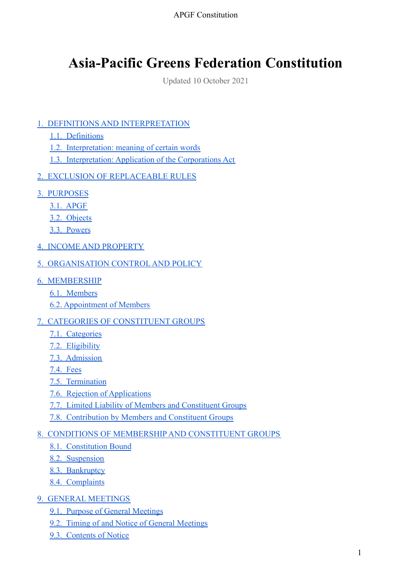# **Asia-Pacific Greens Federation Constitution**

Updated 10 October 2021

### [1. DEFINITIONS AND INTERPRETATION](#page-3-0)

- [1.1. Definitions](#page-3-1)
- [1.2. Interpretation: meaning of certain words](#page-3-2)
- [1.3. Interpretation: Application of the Corporations Act](#page-3-3)
- [2. EXCLUSION OF REPLACEABLE RULES](#page-4-0)
- [3. PURPOSES](#page-4-1)
	- [3.1. APGF](#page-4-2)
	- [3.2. Objects](#page-4-3)
	- [3.3. Powers](#page-4-4)
- [4. INCOME AND PROPERTY](#page-5-0)
- [5. ORGANISATION CONTROL](#page-5-1) AND POLICY
- [6. MEMBERSHIP](#page-5-2)
	- [6.1. Members](#page-5-3)
	- [6.2. Appointment of Members](#page-5-4)

#### [7. CATEGORIES OF CONSTITUENT GROUPS](#page-6-0)

- [7.1. Categories](#page-6-1)
- [7.2. Eligibility](#page-6-2)
- [7.3. Admission](#page-6-3)
- [7.4. Fees](#page-7-0)
- [7.5. Termination](#page-7-1)
- [7.6. Rejection of Applications](#page-7-2)
- [7.7. Limited Liability of Members and Constituent Groups](#page-7-3)
- [7.8. Contribution by Members and Constituent Groups](#page-7-4)

#### [8. CONDITIONS OF MEMBERSHIP](#page-8-0) AND CONSTITUENT GROUPS

- [8.1. Constitution Bound](#page-8-1)
- [8.2. Suspension](#page-8-2)
- [8.3. Bankruptcy](#page-8-3)
- [8.4. Complaints](#page-8-4)
- [9. GENERAL MEETINGS](#page-8-5)
	- [9.1. Purpose of General Meetings](#page-8-6)
	- [9.2. Timing of and Notice of General Meetings](#page-8-7)
	- [9.3. Contents of Notice](#page-9-0)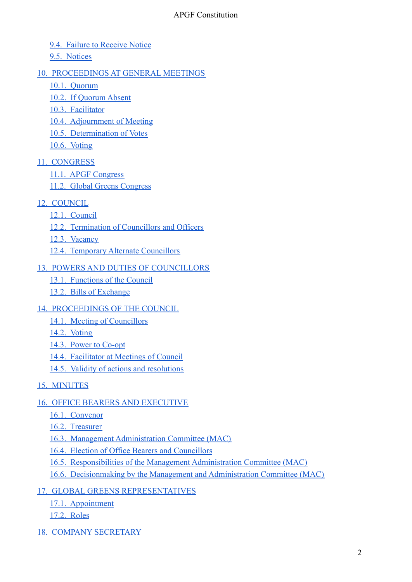- [9.4. Failure to Receive Notice](#page-9-1)
- [9.5. Notices](#page-9-2)

### [10. PROCEEDINGS AT GENERAL MEETINGS](#page-9-3)

- [10.1. Quorum](#page-9-4)
- [10.2. If Quorum Absent](#page-9-5)
- [10.3. Facilitator](#page-9-6)
- [10.4. Adjournment of Meeting](#page-9-7)
- [10.5. Determination of Votes](#page-10-0)
- [10.6. Voting](#page-10-1)
- [11. CONGRESS](#page-10-2)
	- [11.1. APGF Congress](#page-10-3)
	- [11.2. Global Greens Congress](#page-10-4)
- [12. COUNCIL](#page-10-5)
	- [12.1. Council](#page-10-6)
	- [12.2. Termination of Councillors and Officers](#page-11-0)
	- [12.3. Vacancy](#page-11-1)
	- [12.4. Temporary Alternate Councillors](#page-11-2)

### [13. POWERS AND DUTIES OF COUNCILLORS](#page-11-3)

- [13.1. Functions of the Council](#page-11-4)
- [13.2. Bills of Exchange](#page-12-0)
- [14. PROCEEDINGS OF THE COUNCIL](#page-12-1)
	- [14.1. Meeting of Councillors](#page-12-2)
	- [14.2. Voting](#page-12-3)
	- [14.3. Power to Co-opt](#page-12-4)
	- [14.4. Facilitator at Meetings of Council](#page-12-5)
	- [14.5. Validity of actions and resolutions](#page-12-6)
- [15. MINUTES](#page-12-7)

#### [16. OFFICE BEARERS AND EXECUTIVE](#page-13-0)

- [16.1. Convenor](#page-13-1)
- [16.2. Treasurer](#page-13-2)
- [16.3. Management Administration Committee \(MAC\)](#page-13-3)
- [16.4. Election of Office Bearers and Councillors](#page-13-4)
- [16.5. Responsibilities of the Management Administration Committee \(MAC\)](#page-13-5)
- [16.6. Decisionmaking by the Management and Administration Committee \(MAC\)](#page-13-6)
- [17. GLOBAL GREENS REPRESENTATIVES](#page-14-0)
	- [17.1. Appointment](#page-14-1)
	- [17.2. Roles](#page-14-2)
- [18. COMPANY SECRETARY](#page-14-3)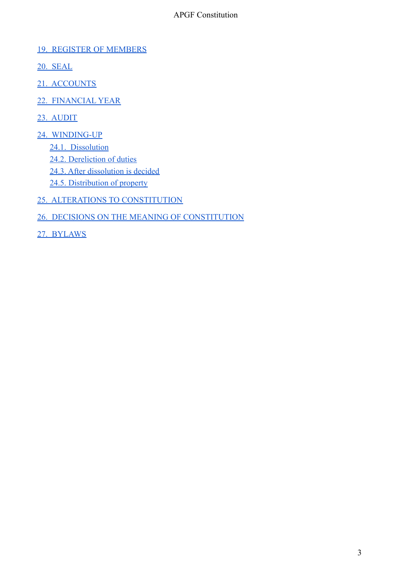#### [19. REGISTER OF MEMBERS](#page-14-4)

- [20. SEAL](#page-14-5)
- [21. ACCOUNTS](#page-14-6)
- [22. FINANCIAL](#page-15-0) YEAR
- [23. AUDIT](#page-15-1)
- [24. WINDING-UP](#page-15-2)
	- [24.1. Dissolution](#page-15-3)
	- [24.2. Dereliction of duties](#page-15-4)
	- [24.3. After dissolution is decided](#page-15-5)
	- [24.5. Distribution of property](#page-15-6)
- [25. ALTERATIONS TO CONSTITUTION](#page-16-0)
- [26. DECISIONS ON THE MEANING OF CONSTITUTION](#page-16-1)
- [27. BYLAWS](#page-16-2)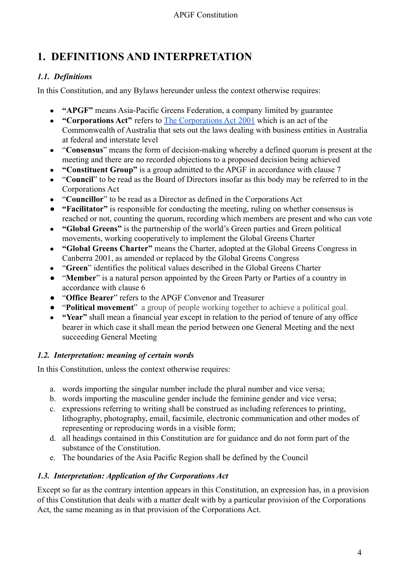# <span id="page-3-0"></span>**1. DEFINITIONS AND INTERPRETATION**

# <span id="page-3-1"></span>*1.1. Definitions*

In this Constitution, and any Bylaws hereunder unless the context otherwise requires:

- **"APGF"** means Asia-Pacific Greens Federation, a company limited by guarantee
- **"Corporations Act"** refers to [The Corporations Act](http://www.austlii.edu.au/au/legis/cth/consol_act/ca2001172/) 2001 which is an act of the Commonwealth of Australia that sets out the laws dealing with business entities in Australia at federal and interstate level
- "**Consensus**" means the form of decision-making whereby a defined quorum is present at the meeting and there are no recorded objections to a proposed decision being achieved
- **"Constituent Group"** is a group admitted to the APGF in accordance with clause 7
- "**Council**" to be read as the Board of Directors insofar as this body may be referred to in the Corporations Act
- "**Councillor**" to be read as a Director as defined in the Corporations Act
- **"Facilitator"** is responsible for conducting the meeting, ruling on whether consensus is reached or not, counting the quorum, recording which members are present and who can vote
- **"Global Greens"** is the partnership of the world's Green parties and Green political movements, working cooperatively to implement the Global Greens Charter
- **"Global Greens Charter"** means the Charter, adopted at the Global Greens Congress in Canberra 2001, as amended or replaced by the Global Greens Congress
- "**Green**" identifies the political values described in the Global Greens Charter
- "**Member**" is a natural person appointed by the Green Party or Parties of a country in accordance with clause 6
- "**Office Bearer**" refers to the APGF Convenor and Treasurer
- "**Political movement**" a group of people working together to achieve a political goal.
- **"Year"** shall mean a financial year except in relation to the period of tenure of any office bearer in which case it shall mean the period between one General Meeting and the next succeeding General Meeting

# <span id="page-3-2"></span>*1.2. Interpretation: meaning of certain words*

In this Constitution, unless the context otherwise requires:

- a. words importing the singular number include the plural number and vice versa;
- b. words importing the masculine gender include the feminine gender and vice versa;
- c. expressions referring to writing shall be construed as including references to printing, lithography, photography, email, facsimile, electronic communication and other modes of representing or reproducing words in a visible form;
- d. all headings contained in this Constitution are for guidance and do not form part of the substance of the Constitution.
- e. The boundaries of the Asia Pacific Region shall be defined by the Council

# <span id="page-3-3"></span>*1.3. Interpretation: Application of the Corporations Act*

Except so far as the contrary intention appears in this Constitution, an expression has, in a provision of this Constitution that deals with a matter dealt with by a particular provision of the Corporations Act, the same meaning as in that provision of the Corporations Act.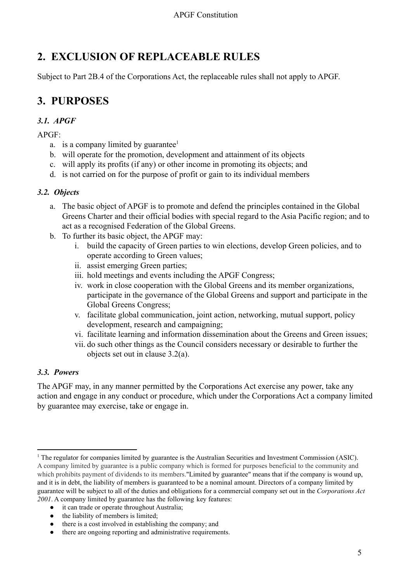# <span id="page-4-0"></span>**2. EXCLUSION OF REPLACEABLE RULES**

<span id="page-4-1"></span>Subject to Part 2B.4 of the Corporations Act, the replaceable rules shall not apply to APGF.

# **3. PURPOSES**

# <span id="page-4-2"></span>*3.1. APGF*

 $APGF$ 

- a. is a company limited by guarantee $<sup>1</sup>$ </sup>
- b. will operate for the promotion, development and attainment of its objects
- c. will apply its profits (if any) or other income in promoting its objects; and
- d. is not carried on for the purpose of profit or gain to its individual members

### <span id="page-4-3"></span>*3.2. Objects*

- a. The basic object of APGF is to promote and defend the principles contained in the Global Greens Charter and their official bodies with special regard to the Asia Pacific region; and to act as a recognised Federation of the Global Greens.
- b. To further its basic object, the APGF may:
	- i. build the capacity of Green parties to win elections, develop Green policies, and to operate according to Green values;
	- ii. assist emerging Green parties;
	- iii. hold meetings and events including the APGF Congress;
	- iv. work in close cooperation with the Global Greens and its member organizations, participate in the governance of the Global Greens and support and participate in the Global Greens Congress;
	- v. facilitate global communication, joint action, networking, mutual support, policy development, research and campaigning;
	- vi. facilitate learning and information dissemination about the Greens and Green issues;
	- vii. do such other things as the Council considers necessary or desirable to further the objects set out in clause 3.2(a).

#### <span id="page-4-4"></span>*3.3. Powers*

The APGF may, in any manner permitted by the Corporations Act exercise any power, take any action and engage in any conduct or procedure, which under the Corporations Act a company limited by guarantee may exercise, take or engage in.

- it can trade or operate throughout Australia;
- the liability of members is limited;
- there is a cost involved in establishing the company; and
- there are ongoing reporting and administrative requirements.

<sup>&</sup>lt;sup>1</sup> The regulator for companies limited by guarantee is the Australian Securities and Investment Commission (ASIC). A company limited by guarantee is a public company which is formed for purposes beneficial to the community and which prohibits payment of dividends to its members."Limited by guarantee" means that if the company is wound up, and it is in debt, the liability of members is guaranteed to be a nominal amount. Directors of a company limited by guarantee will be subject to all of the duties and obligations for a commercial company set out in the *Corporations Act 2001*. A company limited by guarantee has the following key features: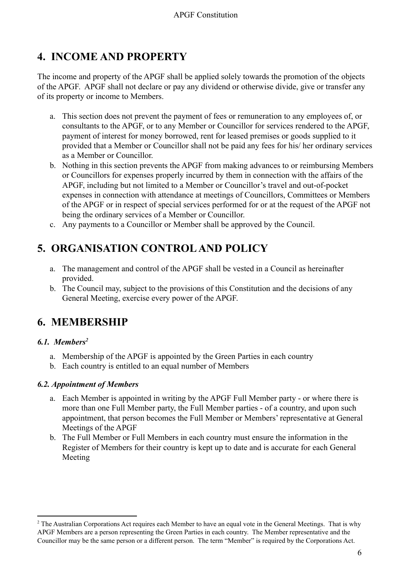# <span id="page-5-0"></span>**4. INCOME AND PROPERTY**

The income and property of the APGF shall be applied solely towards the promotion of the objects of the APGF. APGF shall not declare or pay any dividend or otherwise divide, give or transfer any of its property or income to Members.

- a. This section does not prevent the payment of fees or remuneration to any employees of, or consultants to the APGF, or to any Member or Councillor for services rendered to the APGF, payment of interest for money borrowed, rent for leased premises or goods supplied to it provided that a Member or Councillor shall not be paid any fees for his/ her ordinary services as a Member or Councillor.
- b. Nothing in this section prevents the APGF from making advances to or reimbursing Members or Councillors for expenses properly incurred by them in connection with the affairs of the APGF, including but not limited to a Member or Councillor's travel and out-of-pocket expenses in connection with attendance at meetings of Councillors, Committees or Members of the APGF or in respect of special services performed for or at the request of the APGF not being the ordinary services of a Member or Councillor.
- c. Any payments to a Councillor or Member shall be approved by the Council.

# <span id="page-5-1"></span>**5. ORGANISATION CONTROLAND POLICY**

- a. The management and control of the APGF shall be vested in a Council as hereinafter provided.
- b. The Council may, subject to the provisions of this Constitution and the decisions of any General Meeting, exercise every power of the APGF.

# <span id="page-5-2"></span>**6. MEMBERSHIP**

#### <span id="page-5-3"></span>*6.1. Members<sup>2</sup>*

- a. Membership of the APGF is appointed by the Green Parties in each country
- b. Each country is entitled to an equal number of Members

#### <span id="page-5-4"></span>*6.2. Appointment of Members*

- a. Each Member is appointed in writing by the APGF Full Member party or where there is more than one Full Member party, the Full Member parties - of a country, and upon such appointment, that person becomes the Full Member or Members' representative at General Meetings of the APGF
- b. The Full Member or Full Members in each country must ensure the information in the Register of Members for their country is kept up to date and is accurate for each General Meeting

<sup>&</sup>lt;sup>2</sup> The Australian Corporations Act requires each Member to have an equal vote in the General Meetings. That is why APGF Members are a person representing the Green Parties in each country. The Member representative and the Councillor may be the same person or a different person. The term "Member" is required by the Corporations Act.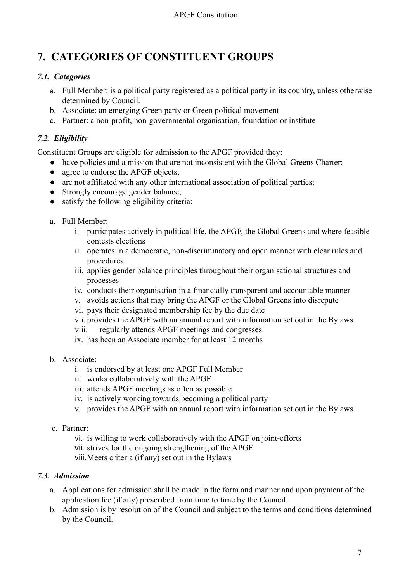# <span id="page-6-0"></span>**7. CATEGORIES OF CONSTITUENT GROUPS**

# <span id="page-6-1"></span>*7.1. Categories*

- a. Full Member: is a political party registered as a political party in its country, unless otherwise determined by Council.
- b. Associate: an emerging Green party or Green political movement
- c. Partner: a non-profit, non-governmental organisation, foundation or institute

# <span id="page-6-2"></span>*7.2. Eligibility*

Constituent Groups are eligible for admission to the APGF provided they:

- have policies and a mission that are not inconsistent with the Global Greens Charter;
- agree to endorse the APGF objects:
- are not affiliated with any other international association of political parties;
- Strongly encourage gender balance:
- satisfy the following eligibility criteria:
- a. Full Member:
	- i. participates actively in political life, the APGF, the Global Greens and where feasible contests elections
	- ii. operates in a democratic, non-discriminatory and open manner with clear rules and procedures
	- iii. applies gender balance principles throughout their organisational structures and processes
	- iv. conducts their organisation in a financially transparent and accountable manner
	- v. avoids actions that may bring the APGF or the Global Greens into disrepute
	- vi. pays their designated membership fee by the due date
	- vii. provides the APGF with an annual report with information set out in the Bylaws
	- viii. regularly attends APGF meetings and congresses
	- ix. has been an Associate member for at least 12 months
- b. Associate:
	- i. is endorsed by at least one APGF Full Member
	- ii. works collaboratively with the APGF
	- iii. attends APGF meetings as often as possible
	- iv. is actively working towards becoming a political party
	- v. provides the APGF with an annual report with information set out in the Bylaws
- c. Partner:
	- vi. is willing to work collaboratively with the APGF on joint-efforts
	- vii. strives for the ongoing strengthening of the APGF
	- viii.Meets criteria (if any) set out in the Bylaws

#### <span id="page-6-3"></span>*7.3. Admission*

- a. Applications for admission shall be made in the form and manner and upon payment of the application fee (if any) prescribed from time to time by the Council.
- b. Admission is by resolution of the Council and subject to the terms and conditions determined by the Council.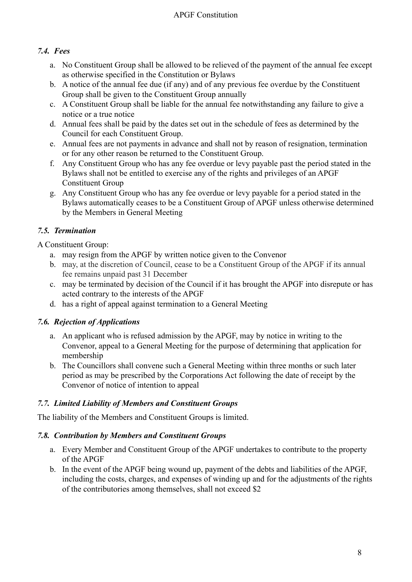### <span id="page-7-0"></span>*7.4. Fees*

- a. No Constituent Group shall be allowed to be relieved of the payment of the annual fee except as otherwise specified in the Constitution or Bylaws
- b. A notice of the annual fee due (if any) and of any previous fee overdue by the Constituent Group shall be given to the Constituent Group annually
- c. A Constituent Group shall be liable for the annual fee notwithstanding any failure to give a notice or a true notice
- d. Annual fees shall be paid by the dates set out in the schedule of fees as determined by the Council for each Constituent Group.
- e. Annual fees are not payments in advance and shall not by reason of resignation, termination or for any other reason be returned to the Constituent Group.
- f. Any Constituent Group who has any fee overdue or levy payable past the period stated in the Bylaws shall not be entitled to exercise any of the rights and privileges of an APGF Constituent Group
- g. Any Constituent Group who has any fee overdue or levy payable for a period stated in the Bylaws automatically ceases to be a Constituent Group of APGF unless otherwise determined by the Members in General Meeting

# <span id="page-7-1"></span>*7.5. Termination*

A Constituent Group:

- a. may resign from the APGF by written notice given to the Convenor
- b. may, at the discretion of Council, cease to be a Constituent Group of the APGF if its annual fee remains unpaid past 31 December
- c. may be terminated by decision of the Council if it has brought the APGF into disrepute or has acted contrary to the interests of the APGF
- d. has a right of appeal against termination to a General Meeting

# <span id="page-7-2"></span>*7.6. Rejection of Applications*

- a. An applicant who is refused admission by the APGF, may by notice in writing to the Convenor, appeal to a General Meeting for the purpose of determining that application for membership
- b. The Councillors shall convene such a General Meeting within three months or such later period as may be prescribed by the Corporations Act following the date of receipt by the Convenor of notice of intention to appeal

# <span id="page-7-3"></span>*7.7. Limited Liability of Members and Constituent Groups*

The liability of the Members and Constituent Groups is limited.

# <span id="page-7-4"></span>*7.8. Contribution by Members and Constituent Groups*

- a. Every Member and Constituent Group of the APGF undertakes to contribute to the property of the APGF
- b. In the event of the APGF being wound up, payment of the debts and liabilities of the APGF, including the costs, charges, and expenses of winding up and for the adjustments of the rights of the contributories among themselves, shall not exceed \$2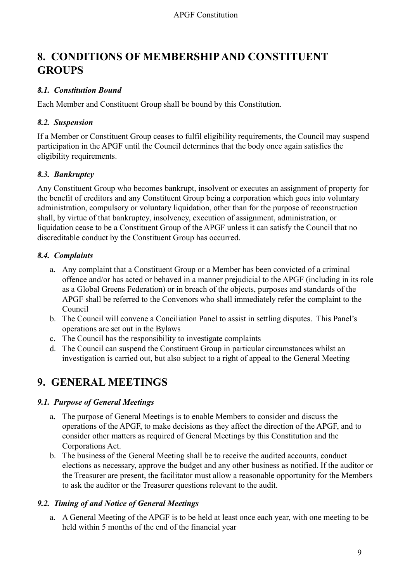# <span id="page-8-0"></span>**8. CONDITIONS OF MEMBERSHIPAND CONSTITUENT GROUPS**

# <span id="page-8-1"></span>*8.1. Constitution Bound*

Each Member and Constituent Group shall be bound by this Constitution.

#### <span id="page-8-2"></span>*8.2. Suspension*

If a Member or Constituent Group ceases to fulfil eligibility requirements, the Council may suspend participation in the APGF until the Council determines that the body once again satisfies the eligibility requirements.

### <span id="page-8-3"></span>*8.3. Bankruptcy*

Any Constituent Group who becomes bankrupt, insolvent or executes an assignment of property for the benefit of creditors and any Constituent Group being a corporation which goes into voluntary administration, compulsory or voluntary liquidation, other than for the purpose of reconstruction shall, by virtue of that bankruptcy, insolvency, execution of assignment, administration, or liquidation cease to be a Constituent Group of the APGF unless it can satisfy the Council that no discreditable conduct by the Constituent Group has occurred.

#### <span id="page-8-4"></span>*8.4. Complaints*

- a. Any complaint that a Constituent Group or a Member has been convicted of a criminal offence and/or has acted or behaved in a manner prejudicial to the APGF (including in its role as a Global Greens Federation) or in breach of the objects, purposes and standards of the APGF shall be referred to the Convenors who shall immediately refer the complaint to the Council
- b. The Council will convene a Conciliation Panel to assist in settling disputes. This Panel's operations are set out in the Bylaws
- c. The Council has the responsibility to investigate complaints
- d. The Council can suspend the Constituent Group in particular circumstances whilst an investigation is carried out, but also subject to a right of appeal to the General Meeting

# <span id="page-8-5"></span>**9. GENERAL MEETINGS**

#### <span id="page-8-6"></span>*9.1. Purpose of General Meetings*

- a. The purpose of General Meetings is to enable Members to consider and discuss the operations of the APGF, to make decisions as they affect the direction of the APGF, and to consider other matters as required of General Meetings by this Constitution and the Corporations Act.
- b. The business of the General Meeting shall be to receive the audited accounts, conduct elections as necessary, approve the budget and any other business as notified. If the auditor or the Treasurer are present, the facilitator must allow a reasonable opportunity for the Members to ask the auditor or the Treasurer questions relevant to the audit.

#### <span id="page-8-7"></span>*9.2. Timing of and Notice of General Meetings*

a. A General Meeting of the APGF is to be held at least once each year, with one meeting to be held within 5 months of the end of the financial year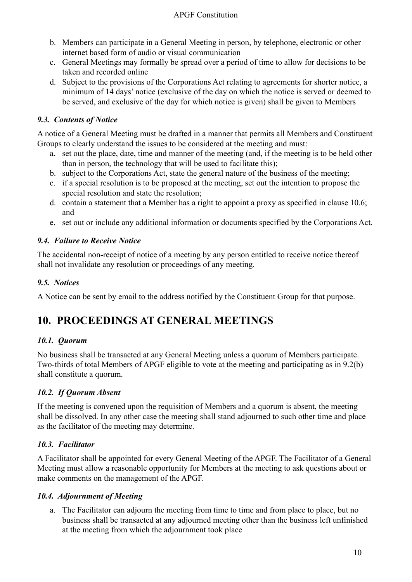- b. Members can participate in a General Meeting in person, by telephone, electronic or other internet based form of audio or visual communication
- c. General Meetings may formally be spread over a period of time to allow for decisions to be taken and recorded online
- d. Subject to the provisions of the Corporations Act relating to agreements for shorter notice, a minimum of 14 days' notice (exclusive of the day on which the notice is served or deemed to be served, and exclusive of the day for which notice is given) shall be given to Members

# <span id="page-9-0"></span>*9.3. Contents of Notice*

A notice of a General Meeting must be drafted in a manner that permits all Members and Constituent Groups to clearly understand the issues to be considered at the meeting and must:

- a. set out the place, date, time and manner of the meeting (and, if the meeting is to be held other than in person, the technology that will be used to facilitate this);
- b. subject to the Corporations Act, state the general nature of the business of the meeting;
- c. if a special resolution is to be proposed at the meeting, set out the intention to propose the special resolution and state the resolution;
- d. contain a statement that a Member has a right to appoint a proxy as specified in clause 10.6; and
- e. set out or include any additional information or documents specified by the Corporations Act.

# <span id="page-9-1"></span>*9.4. Failure to Receive Notice*

The accidental non-receipt of notice of a meeting by any person entitled to receive notice thereof shall not invalidate any resolution or proceedings of any meeting.

### <span id="page-9-2"></span>*9.5. Notices*

<span id="page-9-3"></span>A Notice can be sent by email to the address notified by the Constituent Group for that purpose.

# **10. PROCEEDINGS AT GENERAL MEETINGS**

#### <span id="page-9-4"></span>*10.1. Quorum*

No business shall be transacted at any General Meeting unless a quorum of Members participate. Two-thirds of total Members of APGF eligible to vote at the meeting and participating as in 9.2(b) shall constitute a quorum.

#### <span id="page-9-5"></span>*10.2. If Quorum Absent*

If the meeting is convened upon the requisition of Members and a quorum is absent, the meeting shall be dissolved. In any other case the meeting shall stand adjourned to such other time and place as the facilitator of the meeting may determine.

# <span id="page-9-6"></span>*10.3. Facilitator*

A Facilitator shall be appointed for every General Meeting of the APGF. The Facilitator of a General Meeting must allow a reasonable opportunity for Members at the meeting to ask questions about or make comments on the management of the APGF.

#### <span id="page-9-7"></span>*10.4. Adjournment of Meeting*

a. The Facilitator can adjourn the meeting from time to time and from place to place, but no business shall be transacted at any adjourned meeting other than the business left unfinished at the meeting from which the adjournment took place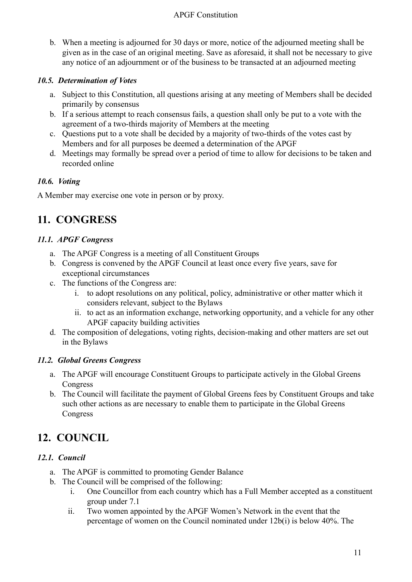b. When a meeting is adjourned for 30 days or more, notice of the adjourned meeting shall be given as in the case of an original meeting. Save as aforesaid, it shall not be necessary to give any notice of an adjournment or of the business to be transacted at an adjourned meeting

### <span id="page-10-0"></span>*10.5. Determination of Votes*

- a. Subject to this Constitution, all questions arising at any meeting of Members shall be decided primarily by consensus
- b. If a serious attempt to reach consensus fails, a question shall only be put to a vote with the agreement of a two-thirds majority of Members at the meeting
- c. Questions put to a vote shall be decided by a majority of two-thirds of the votes cast by Members and for all purposes be deemed a determination of the APGF
- d. Meetings may formally be spread over a period of time to allow for decisions to be taken and recorded online

### <span id="page-10-1"></span>*10.6. Voting*

<span id="page-10-2"></span>A Member may exercise one vote in person or by proxy.

# **11. CONGRESS**

### <span id="page-10-3"></span>*11.1. APGF Congress*

- a. The APGF Congress is a meeting of all Constituent Groups
- b. Congress is convened by the APGF Council at least once every five years, save for exceptional circumstances
- c. The functions of the Congress are:
	- i. to adopt resolutions on any political, policy, administrative or other matter which it considers relevant, subject to the Bylaws
	- ii. to act as an information exchange, networking opportunity, and a vehicle for any other APGF capacity building activities
- d. The composition of delegations, voting rights, decision-making and other matters are set out in the Bylaws

#### <span id="page-10-4"></span>*11.2. Global Greens Congress*

- a. The APGF will encourage Constituent Groups to participate actively in the Global Greens Congress
- b. The Council will facilitate the payment of Global Greens fees by Constituent Groups and take such other actions as are necessary to enable them to participate in the Global Greens Congress

# <span id="page-10-5"></span>**12. COUNCIL**

# <span id="page-10-6"></span>*12.1. Council*

- a. The APGF is committed to promoting Gender Balance
- b. The Council will be comprised of the following:
	- i. One Councillor from each country which has a Full Member accepted as a constituent group under 7.1
	- ii. Two women appointed by the APGF Women's Network in the event that the percentage of women on the Council nominated under 12b(i) is below 40%. The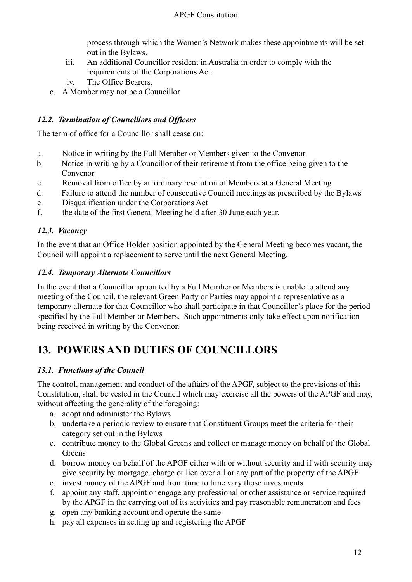process through which the Women's Network makes these appointments will be set out in the Bylaws.

- iii. An additional Councillor resident in Australia in order to comply with the requirements of the Corporations Act.
- iv. The Office Bearers.
- c. A Member may not be a Councillor

### <span id="page-11-0"></span>*12.2. Termination of Councillors and Officers*

The term of office for a Councillor shall cease on:

- a. Notice in writing by the Full Member or Members given to the Convenor
- b. Notice in writing by a Councillor of their retirement from the office being given to the Convenor
- c. Removal from office by an ordinary resolution of Members at a General Meeting
- d. Failure to attend the number of consecutive Council meetings as prescribed by the Bylaws
- e. Disqualification under the Corporations Act
- f. the date of the first General Meeting held after 30 June each year.

#### <span id="page-11-1"></span>*12.3. Vacancy*

In the event that an Office Holder position appointed by the General Meeting becomes vacant, the Council will appoint a replacement to serve until the next General Meeting.

### <span id="page-11-2"></span>*12.4. Temporary Alternate Councillors*

In the event that a Councillor appointed by a Full Member or Members is unable to attend any meeting of the Council, the relevant Green Party or Parties may appoint a representative as a temporary alternate for that Councillor who shall participate in that Councillor's place for the period specified by the Full Member or Members. Such appointments only take effect upon notification being received in writing by the Convenor.

# <span id="page-11-3"></span>**13. POWERS AND DUTIES OF COUNCILLORS**

# <span id="page-11-4"></span>*13.1. Functions of the Council*

The control, management and conduct of the affairs of the APGF, subject to the provisions of this Constitution, shall be vested in the Council which may exercise all the powers of the APGF and may, without affecting the generality of the foregoing:

- a. adopt and administer the Bylaws
- b. undertake a periodic review to ensure that Constituent Groups meet the criteria for their category set out in the Bylaws
- c. contribute money to the Global Greens and collect or manage money on behalf of the Global Greens
- d. borrow money on behalf of the APGF either with or without security and if with security may give security by mortgage, charge or lien over all or any part of the property of the APGF
- e. invest money of the APGF and from time to time vary those investments
- f. appoint any staff, appoint or engage any professional or other assistance or service required by the APGF in the carrying out of its activities and pay reasonable remuneration and fees
- g. open any banking account and operate the same
- h. pay all expenses in setting up and registering the APGF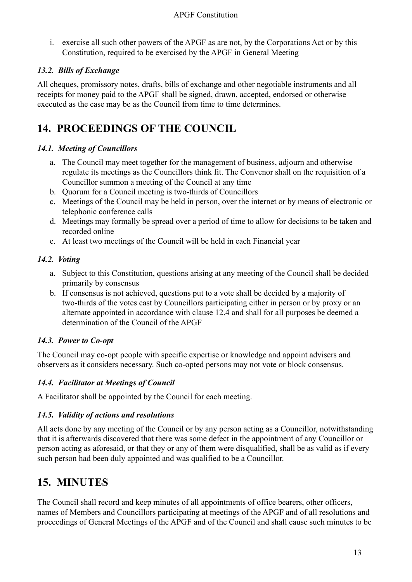i. exercise all such other powers of the APGF as are not, by the Corporations Act or by this Constitution, required to be exercised by the APGF in General Meeting

### <span id="page-12-0"></span>*13.2. Bills of Exchange*

All cheques, promissory notes, drafts, bills of exchange and other negotiable instruments and all receipts for money paid to the APGF shall be signed, drawn, accepted, endorsed or otherwise executed as the case may be as the Council from time to time determines.

# <span id="page-12-1"></span>**14. PROCEEDINGS OF THE COUNCIL**

#### <span id="page-12-2"></span>*14.1. Meeting of Councillors*

- a. The Council may meet together for the management of business, adjourn and otherwise regulate its meetings as the Councillors think fit. The Convenor shall on the requisition of a Councillor summon a meeting of the Council at any time
- b. Quorum for a Council meeting is two-thirds of Councillors
- c. Meetings of the Council may be held in person, over the internet or by means of electronic or telephonic conference calls
- d. Meetings may formally be spread over a period of time to allow for decisions to be taken and recorded online
- e. At least two meetings of the Council will be held in each Financial year

# <span id="page-12-3"></span>*14.2. Voting*

- a. Subject to this Constitution, questions arising at any meeting of the Council shall be decided primarily by consensus
- b. If consensus is not achieved, questions put to a vote shall be decided by a majority of two-thirds of the votes cast by Councillors participating either in person or by proxy or an alternate appointed in accordance with clause 12.4 and shall for all purposes be deemed a determination of the Council of the APGF

# <span id="page-12-4"></span>*14.3. Power to Co-opt*

The Council may co-opt people with specific expertise or knowledge and appoint advisers and observers as it considers necessary. Such co-opted persons may not vote or block consensus.

# <span id="page-12-5"></span>*14.4. Facilitator at Meetings of Council*

A Facilitator shall be appointed by the Council for each meeting.

# <span id="page-12-6"></span>*14.5. Validity of actions and resolutions*

All acts done by any meeting of the Council or by any person acting as a Councillor, notwithstanding that it is afterwards discovered that there was some defect in the appointment of any Councillor or person acting as aforesaid, or that they or any of them were disqualified, shall be as valid as if every such person had been duly appointed and was qualified to be a Councillor.

# <span id="page-12-7"></span>**15. MINUTES**

The Council shall record and keep minutes of all appointments of office bearers, other officers, names of Members and Councillors participating at meetings of the APGF and of all resolutions and proceedings of General Meetings of the APGF and of the Council and shall cause such minutes to be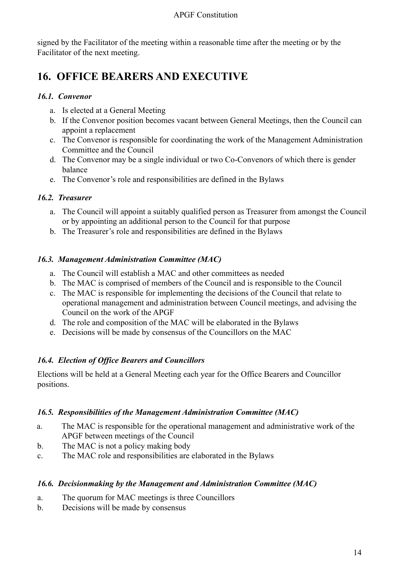signed by the Facilitator of the meeting within a reasonable time after the meeting or by the Facilitator of the next meeting.

# <span id="page-13-0"></span>**16. OFFICE BEARERS AND EXECUTIVE**

#### <span id="page-13-1"></span>*16.1. Convenor*

- a. Is elected at a General Meeting
- b. If the Convenor position becomes vacant between General Meetings, then the Council can appoint a replacement
- c. The Convenor is responsible for coordinating the work of the Management Administration Committee and the Council
- d. The Convenor may be a single individual or two Co-Convenors of which there is gender balance
- e. The Convenor's role and responsibilities are defined in the Bylaws

# <span id="page-13-2"></span>*16.2. Treasurer*

- a. The Council will appoint a suitably qualified person as Treasurer from amongst the Council or by appointing an additional person to the Council for that purpose
- b. The Treasurer's role and responsibilities are defined in the Bylaws

# <span id="page-13-3"></span>*16.3. Management Administration Committee (MAC)*

- a. The Council will establish a MAC and other committees as needed
- b. The MAC is comprised of members of the Council and is responsible to the Council
- c. The MAC is responsible for implementing the decisions of the Council that relate to operational management and administration between Council meetings, and advising the Council on the work of the APGF
- d. The role and composition of the MAC will be elaborated in the Bylaws
- e. Decisions will be made by consensus of the Councillors on the MAC

# <span id="page-13-4"></span>*16.4. Election of Office Bearers and Councillors*

Elections will be held at a General Meeting each year for the Office Bearers and Councillor positions.

# <span id="page-13-5"></span>*16.5. Responsibilities of the Management Administration Committee (MAC)*

- a. The MAC is responsible for the operational management and administrative work of the APGF between meetings of the Council
- b. The MAC is not a policy making body
- c. The MAC role and responsibilities are elaborated in the Bylaws

# <span id="page-13-6"></span>*16.6. Decisionmaking by the Management and Administration Committee (MAC)*

- a. The quorum for MAC meetings is three Councillors
- b. Decisions will be made by consensus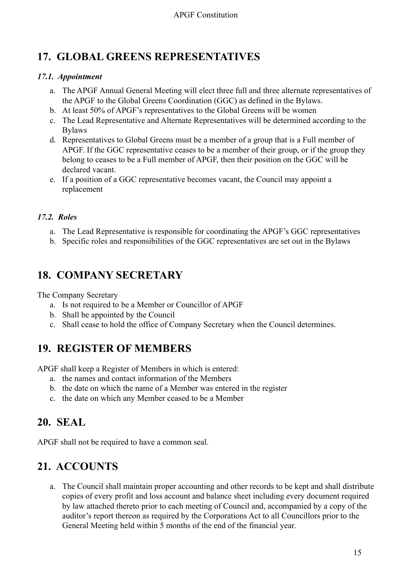# <span id="page-14-0"></span>**17. GLOBAL GREENS REPRESENTATIVES**

# <span id="page-14-1"></span>*17.1. Appointment*

- a. The APGF Annual General Meeting will elect three full and three alternate representatives of the APGF to the Global Greens Coordination (GGC) as defined in the Bylaws.
- b. At least 50% of APGF's representatives to the Global Greens will be women
- c. The Lead Representative and Alternate Representatives will be determined according to the Bylaws
- d. Representatives to Global Greens must be a member of a group that is a Full member of APGF. If the GGC representative ceases to be a member of their group, or if the group they belong to ceases to be a Full member of APGF, then their position on the GGC will be declared vacant.
- e. If a position of a GGC representative becomes vacant, the Council may appoint a replacement

# <span id="page-14-2"></span>*17.2. Roles*

- a. The Lead Representative is responsible for coordinating the APGF's GGC representatives
- b. Specific roles and responsibilities of the GGC representatives are set out in the Bylaws

# <span id="page-14-3"></span>**18. COMPANY SECRETARY**

The Company Secretary

- a. Is not required to be a Member or Councillor of APGF
- b. Shall be appointed by the Council
- c. Shall cease to hold the office of Company Secretary when the Council determines.

# <span id="page-14-4"></span>**19. REGISTER OF MEMBERS**

APGF shall keep a Register of Members in which is entered:

- a. the names and contact information of the Members
- b. the date on which the name of a Member was entered in the register
- c. the date on which any Member ceased to be a Member

# <span id="page-14-5"></span>**20. SEAL**

<span id="page-14-6"></span>APGF shall not be required to have a common seal.

# **21. ACCOUNTS**

a. The Council shall maintain proper accounting and other records to be kept and shall distribute copies of every profit and loss account and balance sheet including every document required by law attached thereto prior to each meeting of Council and, accompanied by a copy of the auditor's report thereon as required by the Corporations Act to all Councillors prior to the General Meeting held within 5 months of the end of the financial year.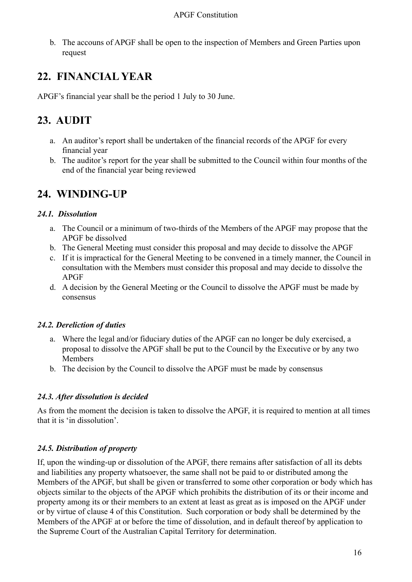b. The accouns of APGF shall be open to the inspection of Members and Green Parties upon request

# <span id="page-15-0"></span>**22. FINANCIAL YEAR**

<span id="page-15-1"></span>APGF's financial year shall be the period 1 July to 30 June.

# **23. AUDIT**

- a. An auditor's report shall be undertaken of the financial records of the APGF for every financial year
- b. The auditor's report for the year shall be submitted to the Council within four months of the end of the financial year being reviewed

# <span id="page-15-2"></span>**24. WINDING-UP**

# <span id="page-15-3"></span>*24.1. Dissolution*

- a. The Council or a minimum of two-thirds of the Members of the APGF may propose that the APGF be dissolved
- b. The General Meeting must consider this proposal and may decide to dissolve the APGF
- c. If it is impractical for the General Meeting to be convened in a timely manner, the Council in consultation with the Members must consider this proposal and may decide to dissolve the APGF
- d. A decision by the General Meeting or the Council to dissolve the APGF must be made by consensus

# <span id="page-15-4"></span>*24.2. Dereliction of duties*

- a. Where the legal and/or fiduciary duties of the APGF can no longer be duly exercised, a proposal to dissolve the APGF shall be put to the Council by the Executive or by any two Members
- b. The decision by the Council to dissolve the APGF must be made by consensus

# <span id="page-15-5"></span>*24.3. After dissolution is decided*

As from the moment the decision is taken to dissolve the APGF, it is required to mention at all times that it is 'in dissolution'.

# <span id="page-15-6"></span>*24.5. Distribution of property*

If, upon the winding-up or dissolution of the APGF, there remains after satisfaction of all its debts and liabilities any property whatsoever, the same shall not be paid to or distributed among the Members of the APGF, but shall be given or transferred to some other corporation or body which has objects similar to the objects of the APGF which prohibits the distribution of its or their income and property among its or their members to an extent at least as great as is imposed on the APGF under or by virtue of clause 4 of this Constitution. Such corporation or body shall be determined by the Members of the APGF at or before the time of dissolution, and in default thereof by application to the Supreme Court of the Australian Capital Territory for determination.